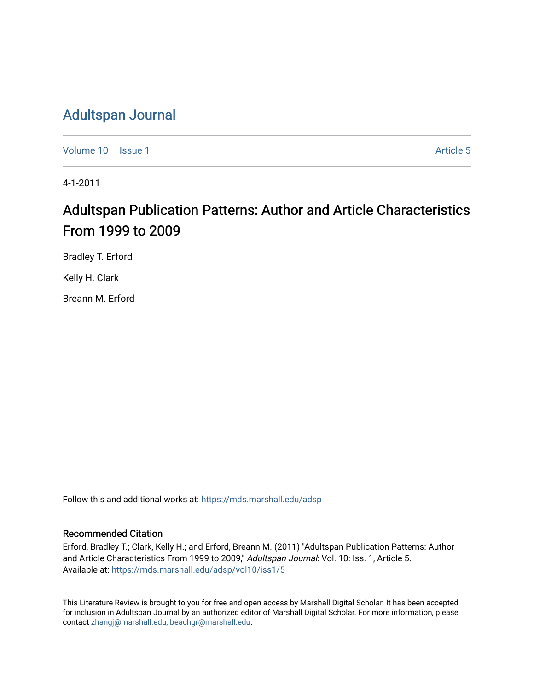# [Adultspan Journal](https://mds.marshall.edu/adsp)

[Volume 10](https://mds.marshall.edu/adsp/vol10) | [Issue 1](https://mds.marshall.edu/adsp/vol10/iss1) Article 5

4-1-2011

# Adultspan Publication Patterns: Author and Article Characteristics From 1999 to 2009

Bradley T. Erford Kelly H. Clark

Breann M. Erford

Follow this and additional works at: [https://mds.marshall.edu/adsp](https://mds.marshall.edu/adsp?utm_source=mds.marshall.edu%2Fadsp%2Fvol10%2Fiss1%2F5&utm_medium=PDF&utm_campaign=PDFCoverPages) 

# Recommended Citation

Erford, Bradley T.; Clark, Kelly H.; and Erford, Breann M. (2011) "Adultspan Publication Patterns: Author and Article Characteristics From 1999 to 2009," Adultspan Journal: Vol. 10: Iss. 1, Article 5. Available at: [https://mds.marshall.edu/adsp/vol10/iss1/5](https://mds.marshall.edu/adsp/vol10/iss1/5?utm_source=mds.marshall.edu%2Fadsp%2Fvol10%2Fiss1%2F5&utm_medium=PDF&utm_campaign=PDFCoverPages) 

This Literature Review is brought to you for free and open access by Marshall Digital Scholar. It has been accepted for inclusion in Adultspan Journal by an authorized editor of Marshall Digital Scholar. For more information, please contact [zhangj@marshall.edu, beachgr@marshall.edu](mailto:zhangj@marshall.edu,%20beachgr@marshall.edu).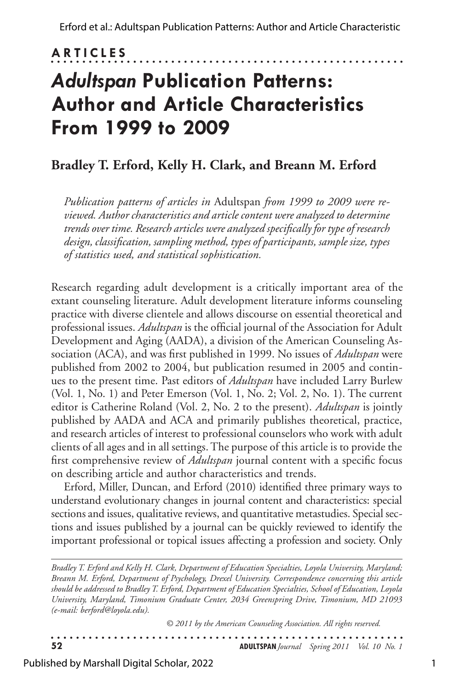# **ARTICLES** . . . . . . . . . . . . . . .

# *Adultspan* **Publication Patterns: Author and Article Characteristics From 1999 to 2009**

# **Bradley T. Erford, Kelly H. Clark, and Breann M. Erford**

*Publication patterns of articles in* Adultspan *from 1999 to 2009 were reviewed. Author characteristics and article content were analyzed to determine trends over time. Research articles were analyzed specifically for type of research design, classification, sampling method, types of participants, sample size, types of statistics used, and statistical sophistication.*

Research regarding adult development is a critically important area of the extant counseling literature. Adult development literature informs counseling practice with diverse clientele and allows discourse on essential theoretical and professional issues. *Adultspan* is the official journal of the Association for Adult Development and Aging (AADA), a division of the American Counseling Association (ACA), and was first published in 1999. No issues of *Adultspan* were published from 2002 to 2004, but publication resumed in 2005 and continues to the present time. Past editors of *Adultspan* have included Larry Burlew (Vol. 1, No. 1) and Peter Emerson (Vol. 1, No. 2; Vol. 2, No. 1). The current editor is Catherine Roland (Vol. 2, No. 2 to the present). *Adultspan* is jointly published by AADA and ACA and primarily publishes theoretical, practice, and research articles of interest to professional counselors who work with adult clients of all ages and in all settings. The purpose of this article is to provide the first comprehensive review of *Adultspan* journal content with a specific focus on describing article and author characteristics and trends.

Erford, Miller, Duncan, and Erford (2010) identified three primary ways to understand evolutionary changes in journal content and characteristics: special sections and issues, qualitative reviews, and quantitative metastudies. Special sections and issues published by a journal can be quickly reviewed to identify the important professional or topical issues affecting a profession and society. Only

*Bradley T. Erford and Kelly H. Clark, Department of Education Specialties, Loyola University, Maryland; Breann M. Erford, Department of Psychology, Drexel University. Correspondence concerning this article should be addressed to Bradley T. Erford, Department of Education Specialties, School of Education, Loyola University, Maryland, Timonium Graduate Center, 2034 Greenspring Drive, Timonium, MD 21093 (e-mail: berford@loyola.edu).*

*© 2011 by the American Counseling Association. All rights reserved.*

 $\cdots$ . . . . . . . . . . . . . . . . . . . . . . . . . . . . . . . . **52 ADULTSPAN***Journal Spring 2011 Vol. 10 No. 1* 

Published by Marshall Digital Scholar, 2022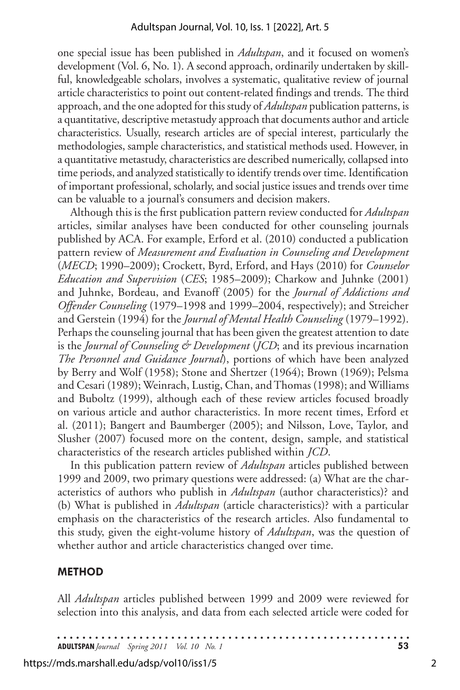one special issue has been published in *Adultspan*, and it focused on women's development (Vol. 6, No. 1). A second approach, ordinarily undertaken by skillful, knowledgeable scholars, involves a systematic, qualitative review of journal article characteristics to point out content-related findings and trends. The third approach, and the one adopted for this study of *Adultspan* publication patterns, is a quantitative, descriptive metastudy approach that documents author and article characteristics. Usually, research articles are of special interest, particularly the methodologies, sample characteristics, and statistical methods used. However, in a quantitative metastudy, characteristics are described numerically, collapsed into time periods, and analyzed statistically to identify trends over time. Identification of important professional, scholarly, and social justice issues and trends over time can be valuable to a journal's consumers and decision makers.

Although this is the first publication pattern review conducted for *Adultspan*  articles, similar analyses have been conducted for other counseling journals published by ACA. For example, Erford et al. (2010) conducted a publication pattern review of *Measurement and Evaluation in Counseling and Development* (*MECD*; 1990–2009); Crockett, Byrd, Erford, and Hays (2010) for *Counselor Education and Supervision* (*CES*; 1985–2009); Charkow and Juhnke (2001) and Juhnke, Bordeau, and Evanoff (2005) for the *Journal of Addictions and Offender Counseling* (1979–1998 and 1999–2004, respectively); and Streicher and Gerstein (1994) for the *Journal of Mental Health Counseling* (1979–1992). Perhaps the counseling journal that has been given the greatest attention to date is the *Journal of Counseling & Development* (*JCD*; and its previous incarnation *The Personnel and Guidance Journal*), portions of which have been analyzed by Berry and Wolf (1958); Stone and Shertzer (1964); Brown (1969); Pelsma and Cesari (1989); Weinrach, Lustig, Chan, and Thomas (1998); and Williams and Buboltz (1999), although each of these review articles focused broadly on various article and author characteristics. In more recent times, Erford et al. (2011); Bangert and Baumberger (2005); and Nilsson, Love, Taylor, and Slusher (2007) focused more on the content, design, sample, and statistical characteristics of the research articles published within *JCD*.

In this publication pattern review of *Adultspan* articles published between 1999 and 2009, two primary questions were addressed: (a) What are the characteristics of authors who publish in *Adultspan* (author characteristics)? and (b) What is published in *Adultspan* (article characteristics)? with a particular emphasis on the characteristics of the research articles. Also fundamental to this study, given the eight-volume history of *Adultspan*, was the question of whether author and article characteristics changed over time.

#### **METHOD**

All *Adultspan* articles published between 1999 and 2009 were reviewed for selection into this analysis, and data from each selected article were coded for

**ADULTSPAN***Journal Spring 2011 Vol. 10 No. 1* **53**

https://mds.marshall.edu/adsp/vol10/iss1/5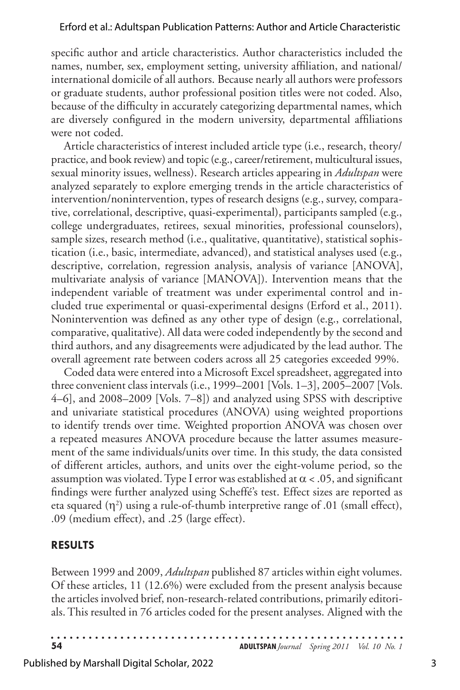specific author and article characteristics. Author characteristics included the names, number, sex, employment setting, university affiliation, and national/ international domicile of all authors. Because nearly all authors were professors or graduate students, author professional position titles were not coded. Also, because of the difficulty in accurately categorizing departmental names, which are diversely configured in the modern university, departmental affiliations were not coded.

Article characteristics of interest included article type (i.e., research, theory/ practice, and book review) and topic (e.g., career/retirement, multicultural issues, sexual minority issues, wellness). Research articles appearing in *Adultspan* were analyzed separately to explore emerging trends in the article characteristics of intervention/nonintervention, types of research designs (e.g., survey, comparative, correlational, descriptive, quasi-experimental), participants sampled (e.g., college undergraduates, retirees, sexual minorities, professional counselors), sample sizes, research method (i.e., qualitative, quantitative), statistical sophistication (i.e., basic, intermediate, advanced), and statistical analyses used (e.g., descriptive, correlation, regression analysis, analysis of variance [ANOVA], multivariate analysis of variance [MANOVA]). Intervention means that the independent variable of treatment was under experimental control and included true experimental or quasi-experimental designs (Erford et al., 2011). Nonintervention was defined as any other type of design (e.g., correlational, comparative, qualitative). All data were coded independently by the second and third authors, and any disagreements were adjudicated by the lead author. The overall agreement rate between coders across all 25 categories exceeded 99%.

Coded data were entered into a Microsoft Excel spreadsheet, aggregated into three convenient class intervals (i.e., 1999–2001 [Vols. 1–3], 2005–2007 [Vols. 4–6], and 2008–2009 [Vols. 7–8]) and analyzed using SPSS with descriptive and univariate statistical procedures (ANOVA) using weighted proportions to identify trends over time. Weighted proportion ANOVA was chosen over a repeated measures ANOVA procedure because the latter assumes measurement of the same individuals/units over time. In this study, the data consisted of different articles, authors, and units over the eight-volume period, so the assumption was violated. Type I error was established at  $\alpha < .05$ , and significant findings were further analyzed using Scheffé's test. Effect sizes are reported as eta squared  $(\eta^2)$  using a rule-of-thumb interpretive range of .01 (small effect), .09 (medium effect), and .25 (large effect).

## **RESULTS**

Between 1999 and 2009, *Adultspan* published 87 articles within eight volumes. Of these articles, 11 (12.6%) were excluded from the present analysis because the articles involved brief, non-research-related contributions, primarily editorials. This resulted in 76 articles coded for the present analyses. Aligned with the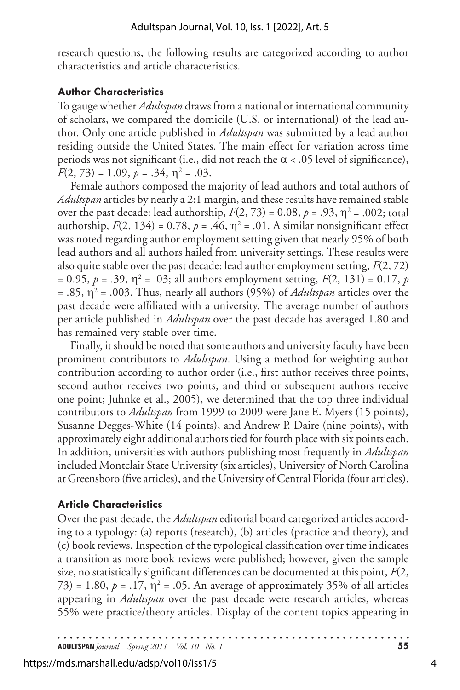research questions, the following results are categorized according to author characteristics and article characteristics.

# **Author Characteristics**

To gauge whether *Adultspan* draws from a national or international community of scholars, we compared the domicile (U.S. or international) of the lead author. Only one article published in *Adultspan* was submitted by a lead author residing outside the United States. The main effect for variation across time periods was not significant (i.e., did not reach the  $\alpha$  < .05 level of significance),  $F(2, 73) = 1.09, p = .34, \eta^2 = .03.$ 

Female authors composed the majority of lead authors and total authors of *Adultspan* articles by nearly a 2:1 margin, and these results have remained stable over the past decade: lead authorship,  $F(2, 73) = 0.08$ ,  $p = .93$ ,  $\eta^2 = .002$ ; total authorship,  $F(2, 134) = 0.78$ ,  $p = .46$ ,  $\eta^2 = .01$ . A similar nonsignificant effect was noted regarding author employment setting given that nearly 95% of both lead authors and all authors hailed from university settings. These results were also quite stable over the past decade: lead author employment setting, *F*(2, 72)  $= 0.95, p = .39, \eta^2 = .03$ ; all authors employment setting,  $F(2, 131) = 0.17, p$ = .85, η<sup>2</sup> = .003. Thus, nearly all authors (95%) of *Adultspan* articles over the past decade were affiliated with a university. The average number of authors per article published in *Adultspan* over the past decade has averaged 1.80 and has remained very stable over time.

Finally, it should be noted that some authors and university faculty have been prominent contributors to *Adultspan*. Using a method for weighting author contribution according to author order (i.e., first author receives three points, second author receives two points, and third or subsequent authors receive one point; Juhnke et al., 2005), we determined that the top three individual contributors to *Adultspan* from 1999 to 2009 were Jane E. Myers (15 points), Susanne Degges-White (14 points), and Andrew P. Daire (nine points), with approximately eight additional authors tied for fourth place with six points each. In addition, universities with authors publishing most frequently in *Adultspan* included Montclair State University (six articles), University of North Carolina at Greensboro (five articles), and the University of Central Florida (four articles).

## **Article Characteristics**

Over the past decade, the *Adultspan* editorial board categorized articles according to a typology: (a) reports (research), (b) articles (practice and theory), and (c) book reviews. Inspection of the typological classification over time indicates a transition as more book reviews were published; however, given the sample size, no statistically significant differences can be documented at this point, *F*(2,  $(73) = 1.80$ ,  $p = .17$ ,  $\eta^2 = .05$ . An average of approximately 35% of all articles appearing in *Adultspan* over the past decade were research articles, whereas 55% were practice/theory articles. Display of the content topics appearing in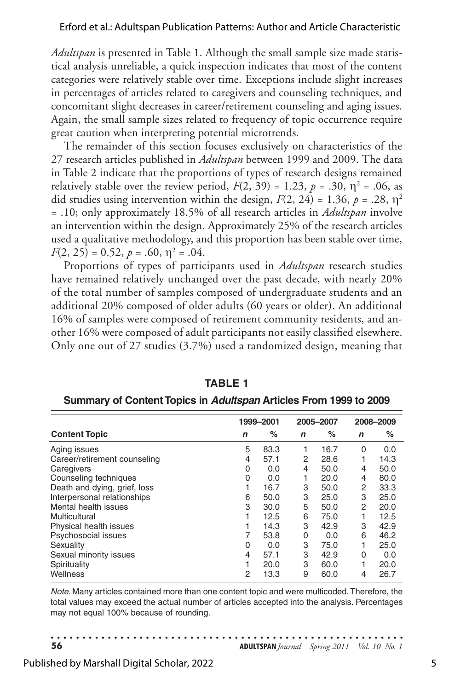*Adultspan* is presented in Table 1. Although the small sample size made statistical analysis unreliable, a quick inspection indicates that most of the content categories were relatively stable over time. Exceptions include slight increases in percentages of articles related to caregivers and counseling techniques, and concomitant slight decreases in career/retirement counseling and aging issues. Again, the small sample sizes related to frequency of topic occurrence require great caution when interpreting potential microtrends.

The remainder of this section focuses exclusively on characteristics of the 27 research articles published in *Adultspan* between 1999 and 2009. The data in Table 2 indicate that the proportions of types of research designs remained relatively stable over the review period,  $F(2, 39) = 1.23$ ,  $p = .30$ ,  $\eta^2 = .06$ , as did studies using intervention within the design,  $F(2, 24) = 1.36$ ,  $p = .28$ ,  $\eta^2$ = .10; only approximately 18.5% of all research articles in *Adultspan* involve an intervention within the design. Approximately 25% of the research articles used a qualitative methodology, and this proportion has been stable over time,  $F(2, 25) = 0.52, p = .60, \eta^2 = .04.$ 

Proportions of types of participants used in *Adultspan* research studies have remained relatively unchanged over the past decade, with nearly 20% of the total number of samples composed of undergraduate students and an additional 20% composed of older adults (60 years or older). An additional 16% of samples were composed of retirement community residents, and another 16% were composed of adult participants not easily classified elsewhere. Only one out of 27 studies (3.7%) used a randomized design, meaning that

|                              |             | 1999-2001 |              | 2005-2007 | 2008-2009    |      |
|------------------------------|-------------|-----------|--------------|-----------|--------------|------|
| <b>Content Topic</b>         | $\mathbf n$ | $\%$      | $\mathsf{n}$ | $\%$      | $\mathsf{n}$ | $\%$ |
| Aging issues                 | 5           | 83.3      |              | 16.7      | 0            | 0.0  |
| Career/retirement counseling | 4           | 57.1      | 2            | 28.6      |              | 14.3 |
| Caregivers                   | 0           | 0.0       | 4            | 50.0      | 4            | 50.0 |
| Counseling techniques        | 0           | 0.0       | 1            | 20.0      | 4            | 80.0 |
| Death and dying, grief, loss |             | 16.7      | 3            | 50.0      | 2            | 33.3 |
| Interpersonal relationships  | 6           | 50.0      | 3            | 25.0      | 3            | 25.0 |
| Mental health issues         | 3           | 30.0      | 5            | 50.0      | 2            | 20.0 |
| Multicultural                |             | 12.5      | 6            | 75.0      | 1            | 12.5 |
| Physical health issues       |             | 14.3      | 3            | 42.9      | 3            | 42.9 |
| Psychosocial issues          |             | 53.8      | 0            | 0.0       | 6            | 46.2 |
| Sexuality                    | 0           | 0.0       | 3            | 75.0      | 1            | 25.0 |
| Sexual minority issues       | 4           | 57.1      | 3            | 42.9      | 0            | 0.0  |
| Spirituality                 |             | 20.0      | 3            | 60.0      |              | 20.0 |
| Wellness                     | 2           | 13.3      | 9            | 60.0      | 4            | 26.7 |

**TABLE 1**

|  | Summary of Content Topics in Adultspan Articles From 1999 to 2009 |  |  |  |  |  |
|--|-------------------------------------------------------------------|--|--|--|--|--|
|  |                                                                   |  |  |  |  |  |

*Note.* Many articles contained more than one content topic and were multicoded. Therefore, the total values may exceed the actual number of articles accepted into the analysis. Percentages may not equal 100% because of rounding.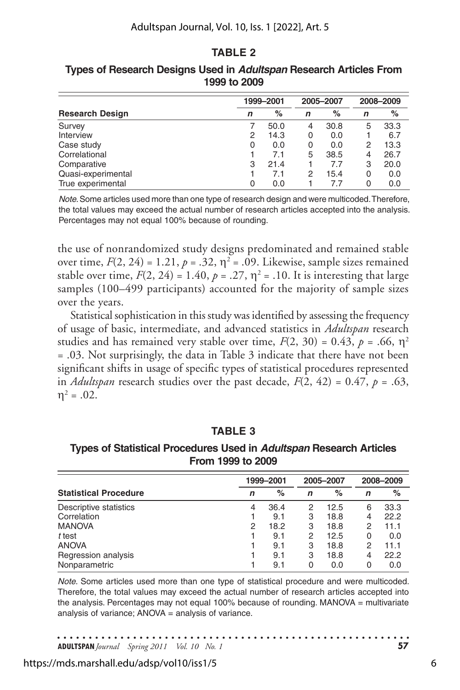## **TABLE 2**

|                        | 1999-2001 | 2005-2007 |   | 2008-2009 |   |      |
|------------------------|-----------|-----------|---|-----------|---|------|
| <b>Research Design</b> | n         | %         | n | %         | n | %    |
| Survey                 |           | 50.0      | 4 | 30.8      | 5 | 33.3 |
| Interview              | 2         | 14.3      | 0 | 0.0       |   | 6.7  |
| Case study             | 0         | 0.0       | 0 | 0.0       | 2 | 13.3 |
| Correlational          |           | 7.1       | 5 | 38.5      | 4 | 26.7 |
| Comparative            | 3         | 21.4      |   | 7.7       | 3 | 20.0 |
| Quasi-experimental     |           | 7.1       | 2 | 15.4      | 0 | 0.0  |
| True experimental      |           | 0.0       |   | 7.7       | 0 | 0.0  |

**Types of Research Designs Used in** *Adultspan* **Research Articles From 1999 to 2009**

*Note.* Some articles used more than one type of research design and were multicoded. Therefore, the total values may exceed the actual number of research articles accepted into the analysis. Percentages may not equal 100% because of rounding.

the use of nonrandomized study designs predominated and remained stable over time,  $F(2, 24) = 1.21$ ,  $p = .32$ ,  $\eta^2 = .09$ . Likewise, sample sizes remained stable over time,  $F(2, 24) = 1.40$ ,  $p = .27$ ,  $\eta^2 = .10$ . It is interesting that large samples (100–499 participants) accounted for the majority of sample sizes over the years.

Statistical sophistication in this study was identified by assessing the frequency of usage of basic, intermediate, and advanced statistics in *Adultspan* research studies and has remained very stable over time,  $F(2, 30) = 0.43$ ,  $p = .66$ ,  $\eta^2$ = .03. Not surprisingly, the data in Table 3 indicate that there have not been significant shifts in usage of specific types of statistical procedures represented in *Adultspan* research studies over the past decade,  $F(2, 42) = 0.47$ ,  $p = .63$ ,  $\eta^2 = .02$ .

#### **TABLE 3**

| Types of Statistical Procedures Used in Adultspan Research Articles |
|---------------------------------------------------------------------|
| From 1999 to 2009                                                   |

|                              | 1999-2001 |      |   | 2005-2007 | 2008-2009 |      |  |
|------------------------------|-----------|------|---|-----------|-----------|------|--|
| <b>Statistical Procedure</b> | n         | %    | n | $\%$      | n         | %    |  |
| Descriptive statistics       | 4         | 36.4 | 2 | 12.5      | 6         | 33.3 |  |
| Correlation                  |           | 9.1  | 3 | 18.8      | 4         | 22.2 |  |
| <b>MANOVA</b>                | 2         | 18.2 | 3 | 18.8      | 2         | 11.1 |  |
| ttest                        |           | 9.1  | 2 | 12.5      | 0         | 0.0  |  |
| <b>ANOVA</b>                 |           | 9.1  | 3 | 18.8      | 2         | 11.1 |  |
| Regression analysis          |           | 9.1  | 3 | 18.8      | 4         | 22.2 |  |
| Nonparametric                |           | 9.1  | 0 | 0.0       | 0         | 0.0  |  |

*Note.* Some articles used more than one type of statistical procedure and were multicoded. Therefore, the total values may exceed the actual number of research articles accepted into the analysis. Percentages may not equal 100% because of rounding.  $MANOVA = multivariate$ analysis of variance; ANOVA = analysis of variance.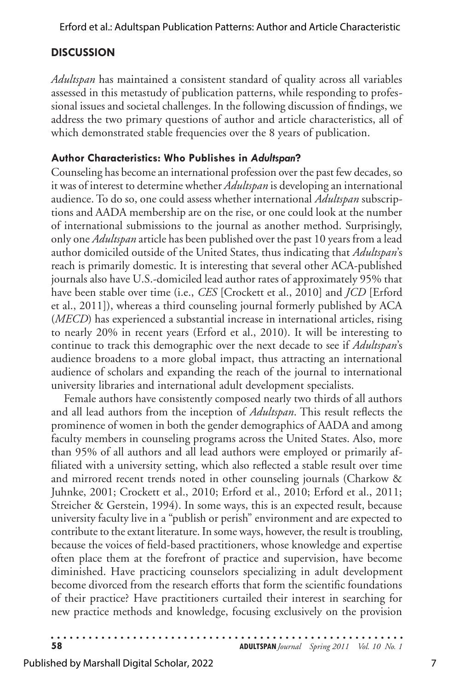# **DISCUSSION**

*Adultspan* has maintained a consistent standard of quality across all variables assessed in this metastudy of publication patterns, while responding to professional issues and societal challenges. In the following discussion of findings, we address the two primary questions of author and article characteristics, all of which demonstrated stable frequencies over the 8 years of publication.

# **Author Characteristics: Who Publishes in** *Adultspan***?**

Counseling has become an international profession over the past few decades, so it was of interest to determine whether *Adultspan* is developing an international audience. To do so, one could assess whether international *Adultspan* subscriptions and AADA membership are on the rise, or one could look at the number of international submissions to the journal as another method. Surprisingly, only one *Adultspan* article has been published over the past 10 years from a lead author domiciled outside of the United States, thus indicating that *Adultspan*'s reach is primarily domestic. It is interesting that several other ACA-published journals also have U.S.-domiciled lead author rates of approximately 95% that have been stable over time (i.e., *CES* [Crockett et al., 2010] and *JCD* [Erford et al., 2011]), whereas a third counseling journal formerly published by ACA (*MECD*) has experienced a substantial increase in international articles, rising to nearly 20% in recent years (Erford et al., 2010). It will be interesting to continue to track this demographic over the next decade to see if *Adultspan*'s audience broadens to a more global impact, thus attracting an international audience of scholars and expanding the reach of the journal to international university libraries and international adult development specialists.

Female authors have consistently composed nearly two thirds of all authors and all lead authors from the inception of *Adultspan*. This result reflects the prominence of women in both the gender demographics of AADA and among faculty members in counseling programs across the United States. Also, more than 95% of all authors and all lead authors were employed or primarily affiliated with a university setting, which also reflected a stable result over time and mirrored recent trends noted in other counseling journals (Charkow & Juhnke, 2001; Crockett et al., 2010; Erford et al., 2010; Erford et al., 2011; Streicher & Gerstein, 1994). In some ways, this is an expected result, because university faculty live in a "publish or perish" environment and are expected to contribute to the extant literature. In some ways, however, the result is troubling, because the voices of field-based practitioners, whose knowledge and expertise often place them at the forefront of practice and supervision, have become diminished. Have practicing counselors specializing in adult development become divorced from the research efforts that form the scientific foundations of their practice? Have practitioners curtailed their interest in searching for new practice methods and knowledge, focusing exclusively on the provision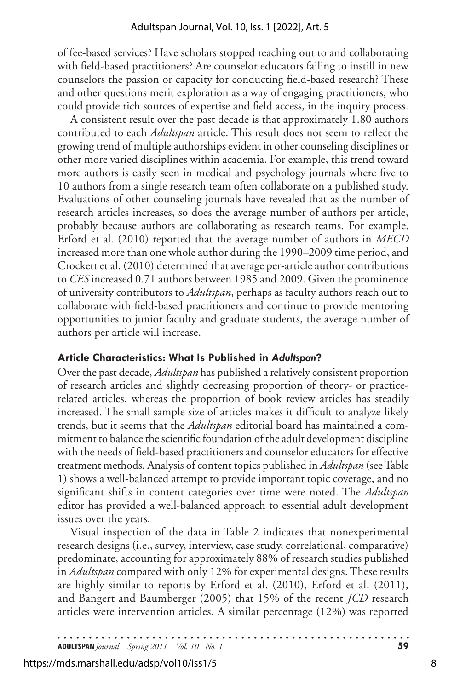of fee-based services? Have scholars stopped reaching out to and collaborating with field-based practitioners? Are counselor educators failing to instill in new counselors the passion or capacity for conducting field-based research? These and other questions merit exploration as a way of engaging practitioners, who could provide rich sources of expertise and field access, in the inquiry process.

A consistent result over the past decade is that approximately 1.80 authors contributed to each *Adultspan* article. This result does not seem to reflect the growing trend of multiple authorships evident in other counseling disciplines or other more varied disciplines within academia. For example, this trend toward more authors is easily seen in medical and psychology journals where five to 10 authors from a single research team often collaborate on a published study. Evaluations of other counseling journals have revealed that as the number of research articles increases, so does the average number of authors per article, probably because authors are collaborating as research teams. For example, Erford et al. (2010) reported that the average number of authors in *MECD* increased more than one whole author during the 1990–2009 time period, and Crockett et al. (2010) determined that average per-article author contributions to *CES* increased 0.71 authors between 1985 and 2009. Given the prominence of university contributors to *Adultspan*, perhaps as faculty authors reach out to collaborate with field-based practitioners and continue to provide mentoring opportunities to junior faculty and graduate students, the average number of authors per article will increase.

## **Article Characteristics: What Is Published in** *Adultspan***?**

Over the past decade, *Adultspan* has published a relatively consistent proportion of research articles and slightly decreasing proportion of theory- or practicerelated articles, whereas the proportion of book review articles has steadily increased. The small sample size of articles makes it difficult to analyze likely trends, but it seems that the *Adultspan* editorial board has maintained a commitment to balance the scientific foundation of the adult development discipline with the needs of field-based practitioners and counselor educators for effective treatment methods. Analysis of content topics published in *Adultspan* (see Table 1) shows a well-balanced attempt to provide important topic coverage, and no significant shifts in content categories over time were noted. The *Adultspan* editor has provided a well-balanced approach to essential adult development issues over the years.

Visual inspection of the data in Table 2 indicates that nonexperimental research designs (i.e., survey, interview, case study, correlational, comparative) predominate, accounting for approximately 88% of research studies published in *Adultspan* compared with only 12% for experimental designs. These results are highly similar to reports by Erford et al. (2010), Erford et al. (2011), and Bangert and Baumberger (2005) that 15% of the recent *JCD* research articles were intervention articles. A similar percentage (12%) was reported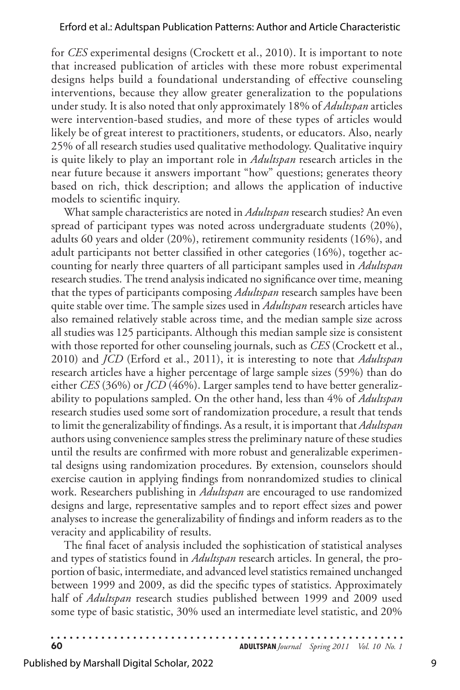for *CES* experimental designs (Crockett et al., 2010). It is important to note that increased publication of articles with these more robust experimental designs helps build a foundational understanding of effective counseling interventions, because they allow greater generalization to the populations under study. It is also noted that only approximately 18% of *Adultspan* articles were intervention-based studies, and more of these types of articles would likely be of great interest to practitioners, students, or educators. Also, nearly 25% of all research studies used qualitative methodology. Qualitative inquiry is quite likely to play an important role in *Adultspan* research articles in the near future because it answers important "how" questions; generates theory based on rich, thick description; and allows the application of inductive models to scientific inquiry.

What sample characteristics are noted in *Adultspan* research studies? An even spread of participant types was noted across undergraduate students (20%), adults 60 years and older (20%), retirement community residents (16%), and adult participants not better classified in other categories (16%), together accounting for nearly three quarters of all participant samples used in *Adultspan* research studies. The trend analysis indicated no significance over time, meaning that the types of participants composing *Adultspan* research samples have been quite stable over time. The sample sizes used in *Adultspan* research articles have also remained relatively stable across time, and the median sample size across all studies was 125 participants. Although this median sample size is consistent with those reported for other counseling journals, such as *CES* (Crockett et al., 2010) and *JCD* (Erford et al., 2011), it is interesting to note that *Adultspan* research articles have a higher percentage of large sample sizes (59%) than do either *CES* (36%) or *JCD* (46%). Larger samples tend to have better generalizability to populations sampled. On the other hand, less than 4% of *Adultspan* research studies used some sort of randomization procedure, a result that tends to limit the generalizability of findings. As a result, it is important that *Adultspan*  authors using convenience samples stress the preliminary nature of these studies until the results are confirmed with more robust and generalizable experimental designs using randomization procedures. By extension, counselors should exercise caution in applying findings from nonrandomized studies to clinical work. Researchers publishing in *Adultspan* are encouraged to use randomized designs and large, representative samples and to report effect sizes and power analyses to increase the generalizability of findings and inform readers as to the veracity and applicability of results.

The final facet of analysis included the sophistication of statistical analyses and types of statistics found in *Adultspan* research articles. In general, the proportion of basic, intermediate, and advanced level statistics remained unchanged between 1999 and 2009, as did the specific types of statistics. Approximately half of *Adultspan* research studies published between 1999 and 2009 used some type of basic statistic, 30% used an intermediate level statistic, and 20%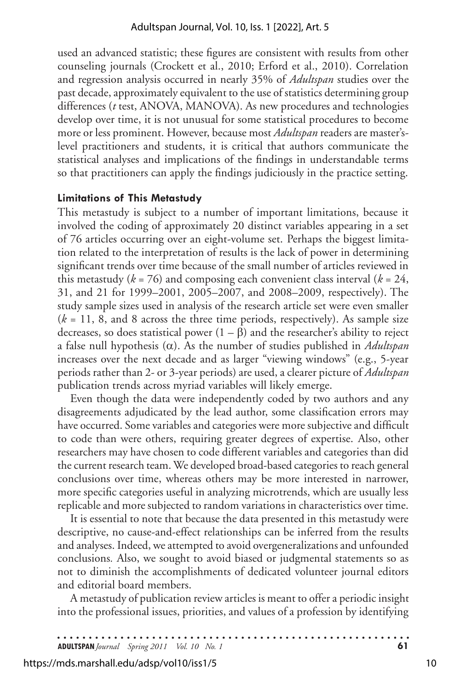used an advanced statistic; these figures are consistent with results from other counseling journals (Crockett et al., 2010; Erford et al., 2010). Correlation and regression analysis occurred in nearly 35% of *Adultspan* studies over the past decade, approximately equivalent to the use of statistics determining group differences (*t* test, ANOVA, MANOVA). As new procedures and technologies develop over time, it is not unusual for some statistical procedures to become more or less prominent. However, because most *Adultspan* readers are master'slevel practitioners and students, it is critical that authors communicate the statistical analyses and implications of the findings in understandable terms so that practitioners can apply the findings judiciously in the practice setting.

#### **Limitations of This Metastudy**

This metastudy is subject to a number of important limitations, because it involved the coding of approximately 20 distinct variables appearing in a set of 76 articles occurring over an eight-volume set. Perhaps the biggest limitation related to the interpretation of results is the lack of power in determining significant trends over time because of the small number of articles reviewed in this metastudy ( $k = 76$ ) and composing each convenient class interval ( $k = 24$ , 31, and 21 for 1999–2001, 2005–2007, and 2008–2009, respectively). The study sample sizes used in analysis of the research article set were even smaller  $(k = 11, 8,$  and 8 across the three time periods, respectively). As sample size decreases, so does statistical power  $(1 - \beta)$  and the researcher's ability to reject a false null hypothesis (α). As the number of studies published in *Adultspan* increases over the next decade and as larger "viewing windows" (e.g., 5-year periods rather than 2- or 3-year periods) are used, a clearer picture of *Adultspan* publication trends across myriad variables will likely emerge.

Even though the data were independently coded by two authors and any disagreements adjudicated by the lead author, some classification errors may have occurred. Some variables and categories were more subjective and difficult to code than were others, requiring greater degrees of expertise. Also, other researchers may have chosen to code different variables and categories than did the current research team. We developed broad-based categories to reach general conclusions over time, whereas others may be more interested in narrower, more specific categories useful in analyzing microtrends, which are usually less replicable and more subjected to random variations in characteristics over time.

It is essential to note that because the data presented in this metastudy were descriptive, no cause-and-effect relationships can be inferred from the results and analyses. Indeed, we attempted to avoid overgeneralizations and unfounded conclusions*.* Also, we sought to avoid biased or judgmental statements so as not to diminish the accomplishments of dedicated volunteer journal editors and editorial board members.

A metastudy of publication review articles is meant to offer a periodic insight into the professional issues, priorities, and values of a profession by identifying